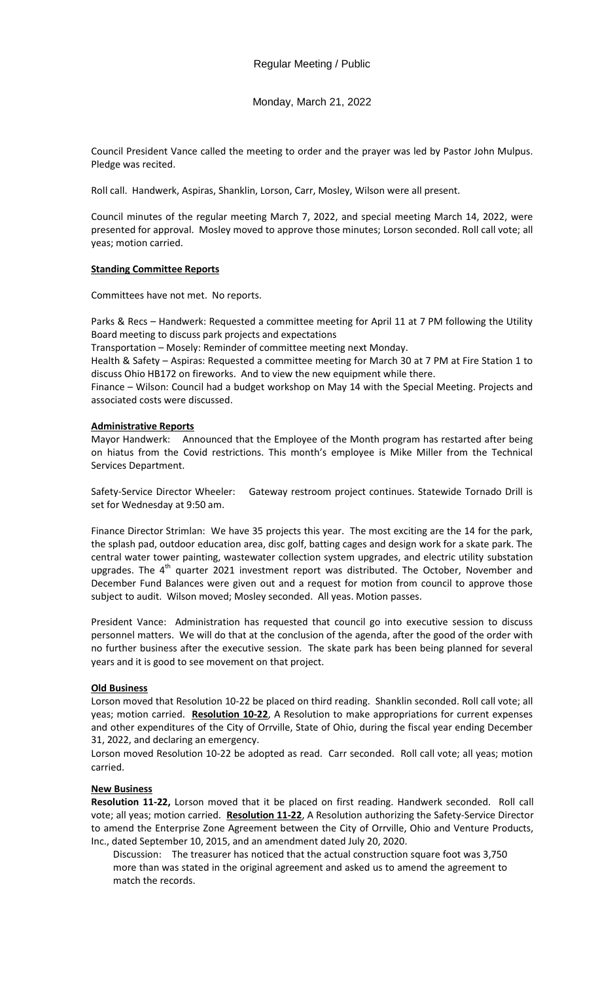Monday, March 21, 2022

Council President Vance called the meeting to order and the prayer was led by Pastor John Mulpus. Pledge was recited.

Roll call. Handwerk, Aspiras, Shanklin, Lorson, Carr, Mosley, Wilson were all present.

Council minutes of the regular meeting March 7, 2022, and special meeting March 14, 2022, were presented for approval. Mosley moved to approve those minutes; Lorson seconded. Roll call vote; all yeas; motion carried.

# **Standing Committee Reports**

Committees have not met. No reports.

Parks & Recs – Handwerk: Requested a committee meeting for April 11 at 7 PM following the Utility Board meeting to discuss park projects and expectations

Transportation – Mosely: Reminder of committee meeting next Monday.

Health & Safety – Aspiras: Requested a committee meeting for March 30 at 7 PM at Fire Station 1 to discuss Ohio HB172 on fireworks. And to view the new equipment while there.

Finance – Wilson: Council had a budget workshop on May 14 with the Special Meeting. Projects and associated costs were discussed.

## **Administrative Reports**

Mayor Handwerk: Announced that the Employee of the Month program has restarted after being on hiatus from the Covid restrictions. This month's employee is Mike Miller from the Technical Services Department.

Safety-Service Director Wheeler: Gateway restroom project continues. Statewide Tornado Drill is set for Wednesday at 9:50 am.

Finance Director Strimlan: We have 35 projects this year. The most exciting are the 14 for the park, the splash pad, outdoor education area, disc golf, batting cages and design work for a skate park. The central water tower painting, wastewater collection system upgrades, and electric utility substation upgrades. The  $4<sup>th</sup>$  quarter 2021 investment report was distributed. The October, November and December Fund Balances were given out and a request for motion from council to approve those subject to audit. Wilson moved; Mosley seconded. All yeas. Motion passes.

President Vance: Administration has requested that council go into executive session to discuss personnel matters. We will do that at the conclusion of the agenda, after the good of the order with no further business after the executive session. The skate park has been being planned for several years and it is good to see movement on that project.

# **Old Business**

Lorson moved that Resolution 10-22 be placed on third reading. Shanklin seconded. Roll call vote; all yeas; motion carried. **Resolution 10-22**, A Resolution to make appropriations for current expenses and other expenditures of the City of Orrville, State of Ohio, during the fiscal year ending December 31, 2022, and declaring an emergency.

Lorson moved Resolution 10-22 be adopted as read. Carr seconded. Roll call vote; all yeas; motion carried.

#### **New Business**

**Resolution 11-22,** Lorson moved that it be placed on first reading. Handwerk seconded. Roll call vote; all yeas; motion carried. **Resolution 11-22**, A Resolution authorizing the Safety-Service Director to amend the Enterprise Zone Agreement between the City of Orrville, Ohio and Venture Products, Inc., dated September 10, 2015, and an amendment dated July 20, 2020.

Discussion: The treasurer has noticed that the actual construction square foot was 3,750 more than was stated in the original agreement and asked us to amend the agreement to match the records.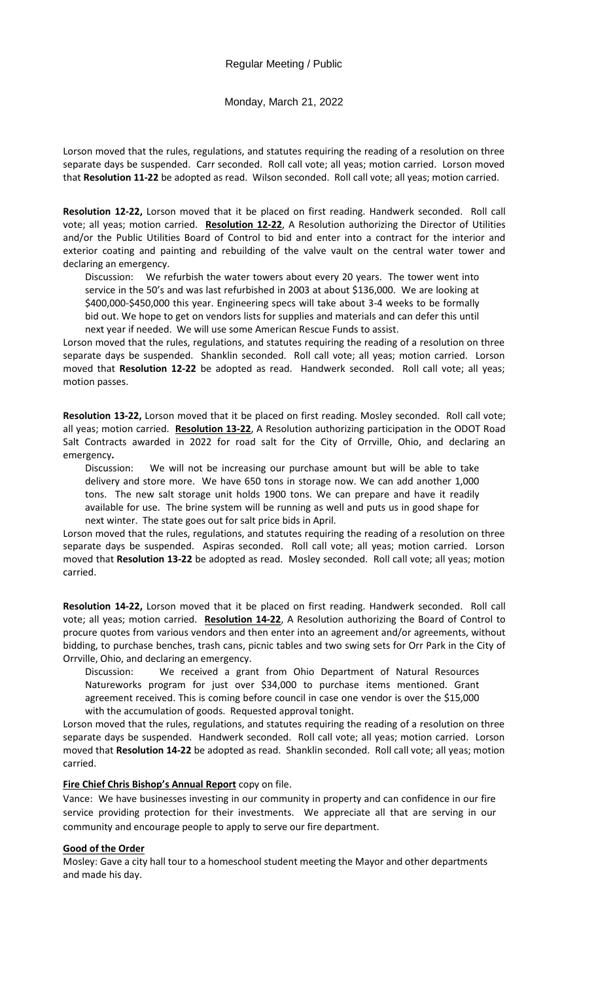## Monday, March 21, 2022

Lorson moved that the rules, regulations, and statutes requiring the reading of a resolution on three separate days be suspended. Carr seconded. Roll call vote; all yeas; motion carried. Lorson moved that **Resolution 11-22** be adopted as read. Wilson seconded. Roll call vote; all yeas; motion carried.

**Resolution 12-22,** Lorson moved that it be placed on first reading. Handwerk seconded. Roll call vote; all yeas; motion carried. **Resolution 12-22**, A Resolution authorizing the Director of Utilities and/or the Public Utilities Board of Control to bid and enter into a contract for the interior and exterior coating and painting and rebuilding of the valve vault on the central water tower and declaring an emergency.

Discussion: We refurbish the water towers about every 20 years. The tower went into service in the 50's and was last refurbished in 2003 at about \$136,000. We are looking at \$400,000-\$450,000 this year. Engineering specs will take about 3-4 weeks to be formally bid out. We hope to get on vendors lists for supplies and materials and can defer this until next year if needed. We will use some American Rescue Funds to assist.

Lorson moved that the rules, regulations, and statutes requiring the reading of a resolution on three separate days be suspended. Shanklin seconded. Roll call vote; all yeas; motion carried. Lorson moved that **Resolution 12-22** be adopted as read. Handwerk seconded. Roll call vote; all yeas; motion passes.

**Resolution 13-22,** Lorson moved that it be placed on first reading. Mosley seconded. Roll call vote; all yeas; motion carried. **Resolution 13-22**, A Resolution authorizing participation in the ODOT Road Salt Contracts awarded in 2022 for road salt for the City of Orrville, Ohio, and declaring an emergency**.** 

Discussion: We will not be increasing our purchase amount but will be able to take delivery and store more. We have 650 tons in storage now. We can add another 1,000 tons. The new salt storage unit holds 1900 tons. We can prepare and have it readily available for use. The brine system will be running as well and puts us in good shape for next winter. The state goes out for salt price bids in April.

Lorson moved that the rules, regulations, and statutes requiring the reading of a resolution on three separate days be suspended. Aspiras seconded. Roll call vote; all yeas; motion carried. Lorson moved that **Resolution 13-22** be adopted as read. Mosley seconded. Roll call vote; all yeas; motion carried.

**Resolution 14-22,** Lorson moved that it be placed on first reading. Handwerk seconded. Roll call vote; all yeas; motion carried. **Resolution 14-22**, A Resolution authorizing the Board of Control to procure quotes from various vendors and then enter into an agreement and/or agreements, without bidding, to purchase benches, trash cans, picnic tables and two swing sets for Orr Park in the City of Orrville, Ohio, and declaring an emergency.

Discussion: We received a grant from Ohio Department of Natural Resources Natureworks program for just over \$34,000 to purchase items mentioned. Grant agreement received. This is coming before council in case one vendor is over the \$15,000 with the accumulation of goods. Requested approval tonight.

Lorson moved that the rules, regulations, and statutes requiring the reading of a resolution on three separate days be suspended. Handwerk seconded. Roll call vote; all yeas; motion carried. Lorson moved that **Resolution 14-22** be adopted as read. Shanklin seconded. Roll call vote; all yeas; motion carried.

#### **Fire Chief Chris Bishop's Annual Report** copy on file.

Vance: We have businesses investing in our community in property and can confidence in our fire service providing protection for their investments. We appreciate all that are serving in our community and encourage people to apply to serve our fire department.

### **Good of the Order**

Mosley: Gave a city hall tour to a homeschool student meeting the Mayor and other departments and made his day.